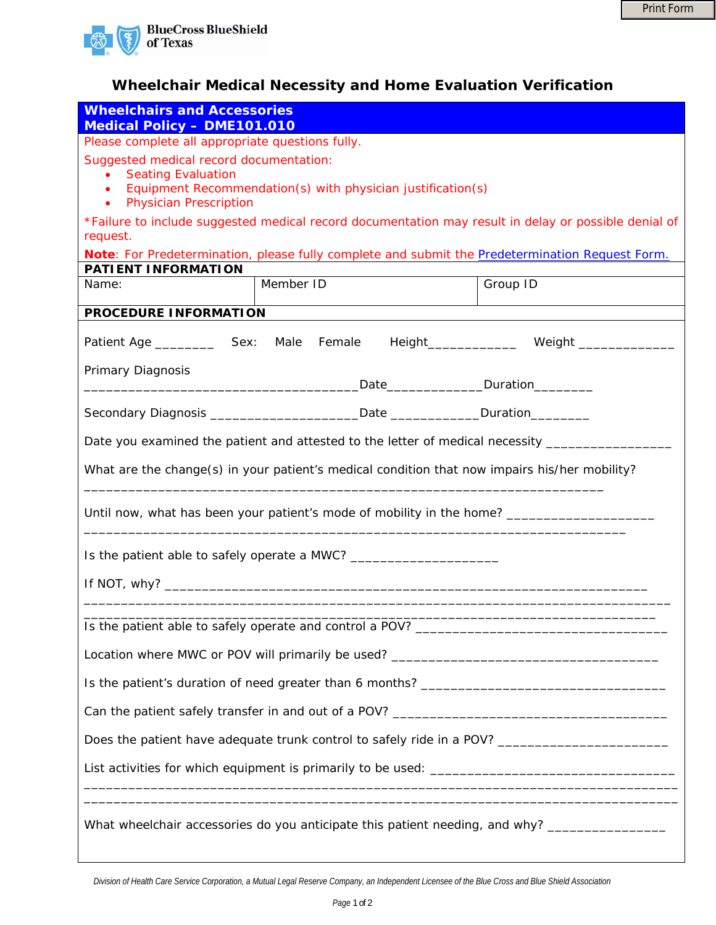

## **Wheelchair Medical Necessity and Home Evaluation Verification**

| <b>Wheelchairs and Accessories</b><br><b>Medical Policy - DME101.010</b>                                                                                                                       |                                                                                          |          |  |
|------------------------------------------------------------------------------------------------------------------------------------------------------------------------------------------------|------------------------------------------------------------------------------------------|----------|--|
| Please complete all appropriate questions fully.                                                                                                                                               |                                                                                          |          |  |
| Suggested medical record documentation:<br><b>Seating Evaluation</b><br>Equipment Recommendation(s) with physician justification(s)<br>$\bullet$<br><b>Physician Prescription</b><br>$\bullet$ |                                                                                          |          |  |
| *Failure to include suggested medical record documentation may result in delay or possible denial of<br>request.                                                                               |                                                                                          |          |  |
| Note: For Predetermination, please fully complete and submit the Predetermination Request Form.                                                                                                |                                                                                          |          |  |
| <b>PATIENT INFORMATION</b><br>Name:                                                                                                                                                            | Member ID                                                                                | Group ID |  |
|                                                                                                                                                                                                |                                                                                          |          |  |
| PROCEDURE INFORMATION                                                                                                                                                                          |                                                                                          |          |  |
|                                                                                                                                                                                                | Patient Age ______________ Sex: Male Female Height_________________ Weight _____________ |          |  |
| Primary Diagnosis                                                                                                                                                                              |                                                                                          |          |  |
|                                                                                                                                                                                                | Secondary Diagnosis __________________________Date _______________Duration_______        |          |  |
| Date you examined the patient and attested to the letter of medical necessity _______                                                                                                          |                                                                                          |          |  |
| What are the change(s) in your patient's medical condition that now impairs his/her mobility?                                                                                                  |                                                                                          |          |  |
| Until now, what has been your patient's mode of mobility in the home? ______________________________                                                                                           |                                                                                          |          |  |
| Is the patient able to safely operate a MWC? ___________________________________                                                                                                               |                                                                                          |          |  |
|                                                                                                                                                                                                |                                                                                          |          |  |
|                                                                                                                                                                                                |                                                                                          |          |  |
| Location where MWC or POV will primarily be used? _______________________________                                                                                                              |                                                                                          |          |  |
|                                                                                                                                                                                                |                                                                                          |          |  |
|                                                                                                                                                                                                |                                                                                          |          |  |
| Does the patient have adequate trunk control to safely ride in a POV? _____________________________                                                                                            |                                                                                          |          |  |
|                                                                                                                                                                                                |                                                                                          |          |  |
| What wheelchair accessories do you anticipate this patient needing, and why? _________________                                                                                                 |                                                                                          |          |  |